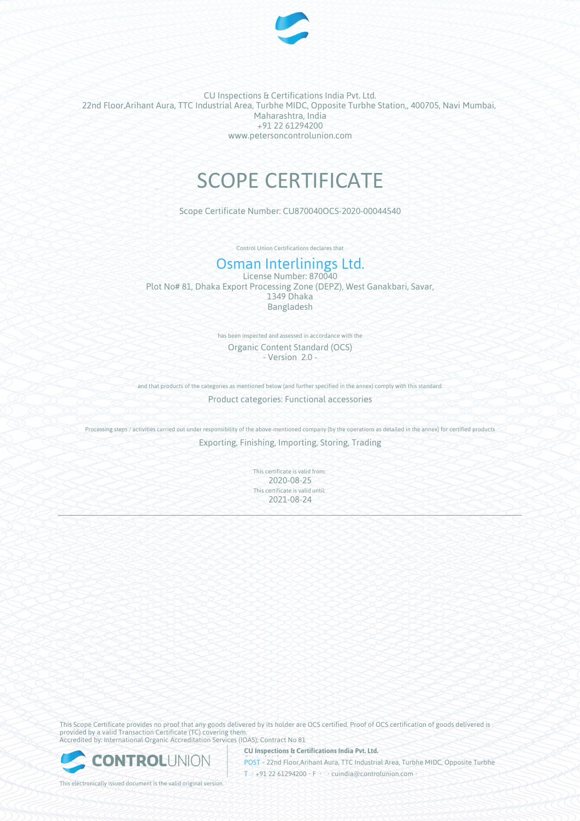

CU Inspections & Certifications India Pvt. Ltd. 22nd Floor,Arihant Aura, TTC Industrial Area, Turbhe MIDC, Opposite Turbhe Station,, 400705, Navi Mumbai, Maharashtra, India +91 22 61294200 www.petersoncontrolunion.com

# SCOPE CERTIFICATE

Scope Certificate Number: CU870040OCS-2020-00044540

Control Union Certifications declares that

## Osman Interlinings Ltd.

License Number: 870040 Plot No# 81, Dhaka Export Processing Zone (DEPZ), West Ganakbari, Savar, 1349 Dhaka Bangladesh

> has been inspected and assessed in accordance with the Organic Content Standard (OCS) - Version 2.0 -

and that products of the categories as mentioned below (and further specified in the annex) comply with this standard:

Product categories: Functional accessories

Processing steps / activities carried out under responsibility of the above-mentioned company (by the operations as detailed in the annex) for certified products Exporting, Finishing, Importing, Storing, Trading

> This certificate is valid from: 2020-08-25 This certificate is valid until: 2021-08-24

This Scope Certificate provides no proof that any goods delivered by its holder are OCS certified. Proof of OCS certification of goods delivered is provided by a valid Transaction Certificate (TC) covering them. Accredited by: International Organic Accreditation Services (IOAS); Contract No 81

**CU Inspections & Certifications India Pvt. Ltd.**



This electronically issued document is the valid original version.

**POST • 22nd Floor,Arihant Aura, TTC Industrial Area, Turbhe MIDC, Opposite Turbhe** T • +91 22 61294200 • F • • cuindia@controlunion.com •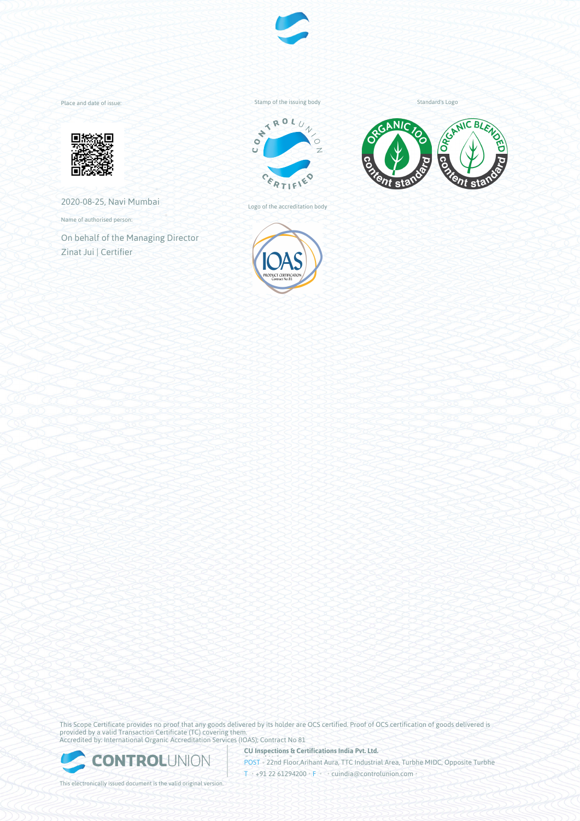

Place and date of issue:



2020-08-25, Navi Mumbai

Name of authorised person:

On behalf of the Managing Director Zinat Jui | Certifier

Stamp of the issuing body



Logo of the accreditation body



Standard's Logo



This Scope Certificate provides no proof that any goods delivered by its holder are OCS certified. Proof of OCS certification of goods delivered is provided by a valid Transaction Certificate (TC) covering them. Accredited by: International Organic Accreditation Services (IOAS); Contract No 81

**CU Inspections & Certifications India Pvt. Ltd.**



This electronically issued document is the valid original version.

**POST • 22nd Floor,Arihant Aura, TTC Industrial Area, Turbhe MIDC, Opposite Turbhe** T • +91 22 61294200 • F • • cuindia@controlunion.com •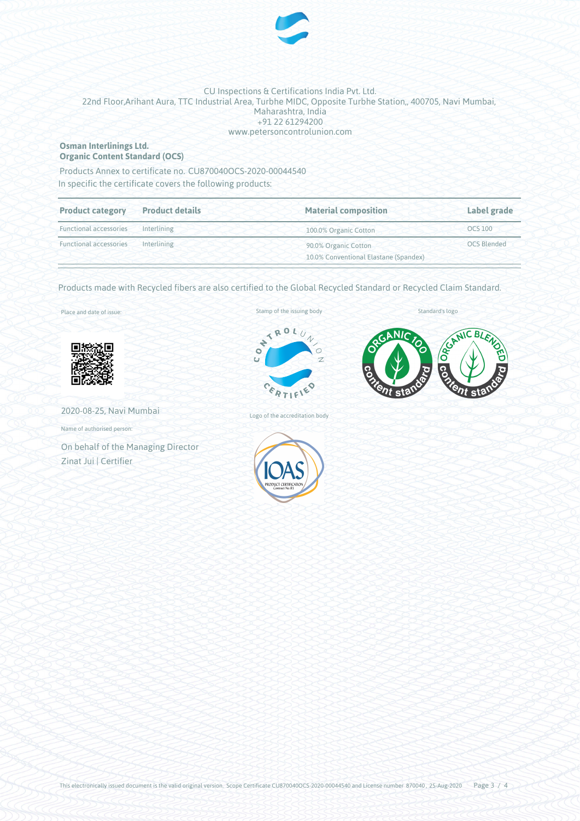

### CU Inspections & Certifications India Pvt. Ltd. 22nd Floor,Arihant Aura, TTC Industrial Area, Turbhe MIDC, Opposite Turbhe Station,, 400705, Navi Mumbai, Maharashtra, India +91 22 61294200 www.petersoncontrolunion.com

#### **Osman Interlinings Ltd. Organic Content Standard (OCS)**

In specific the certificate covers the following products: Products Annex to certificate no. CU870040OCS-2020-00044540

| <b>Product category</b>               | <b>Product details</b> | <b>Material composition</b>                                   | Label grade        |
|---------------------------------------|------------------------|---------------------------------------------------------------|--------------------|
| <b>Functional accessories</b>         | Interlining            | 100.0% Organic Cotton                                         | <b>OCS 100</b>     |
| Functional accessories<br>Interlining |                        | 90.0% Organic Cotton<br>10.0% Conventional Elastane (Spandex) | <b>OCS Blended</b> |

Products made with Recycled fibers are also certified to the Global Recycled Standard or Recycled Claim Standard.

Place and date of issue:



2020-08-25, Navi Mumbai

Name of authorised person:

On behalf of the Managing Director Zinat Jui | Certifier

#### Stamp of the issuing body



Standard's logo



Logo of the accreditation body